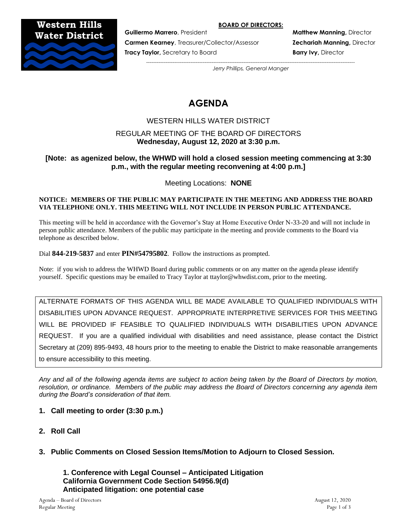#### **BOARD OF DIRECTORS:**

**Western Hills Water District**



**Carmen Kearney**, Treasurer/Collector/Assessor **Zechariah Manning,** Director

**Tracy Taylor,** Secretary to Board **Barry Ivy, Director and Barry Ivy, Director** 

**Guillermo Marrero**, President **Matthew Manning, Director Matthew Manning, Director** 

*---------------------------------------------------------------------------------------------------------------------- Jerry Phillips, General Manger*

# **AGENDA**

# WESTERN HILLS WATER DISTRICT

# REGULAR MEETING OF THE BOARD OF DIRECTORS **Wednesday, August 12, 2020 at 3:30 p.m.**

# **[Note: as agenized below, the WHWD will hold a closed session meeting commencing at 3:30 p.m., with the regular meeting reconvening at 4:00 p.m.]**

Meeting Locations: **NONE**

#### **NOTICE: MEMBERS OF THE PUBLIC MAY PARTICIPATE IN THE MEETING AND ADDRESS THE BOARD VIA TELEPHONE ONLY. THIS MEETING WILL NOT INCLUDE IN PERSON PUBLIC ATTENDANCE.**

This meeting will be held in accordance with the Governor's Stay at Home Executive Order N-33-20 and will not include in person public attendance. Members of the public may participate in the meeting and provide comments to the Board via telephone as described below.

Dial **844-219-5837** and enter **PIN#54795802**. Follow the instructions as prompted.

Note: if you wish to address the WHWD Board during public comments or on any matter on the agenda please identify yourself. Specific questions may be emailed to Tracy Taylor at ttaylor@whwdist.com, prior to the meeting.

ALTERNATE FORMATS OF THIS AGENDA WILL BE MADE AVAILABLE TO QUALIFIED INDIVIDUALS WITH DISABILITIES UPON ADVANCE REQUEST. APPROPRIATE INTERPRETIVE SERVICES FOR THIS MEETING WILL BE PROVIDED IF FEASIBLE TO QUALIFIED INDIVIDUALS WITH DISABILITIES UPON ADVANCE REQUEST. If you are a qualified individual with disabilities and need assistance, please contact the District Secretary at (209) 895-9493, 48 hours prior to the meeting to enable the District to make reasonable arrangements to ensure accessibility to this meeting.

*Any and all of the following agenda items are subject to action being taken by the Board of Directors by motion, resolution, or ordinance. Members of the public may address the Board of Directors concerning any agenda item during the Board's consideration of that item.*

# **1. Call meeting to order (3:30 p.m.)**

- **2. Roll Call**
- **3. Public Comments on Closed Session Items/Motion to Adjourn to Closed Session.**

**1. Conference with Legal Counsel – Anticipated Litigation California Government Code Section 54956.9(d) Anticipated litigation: one potential case**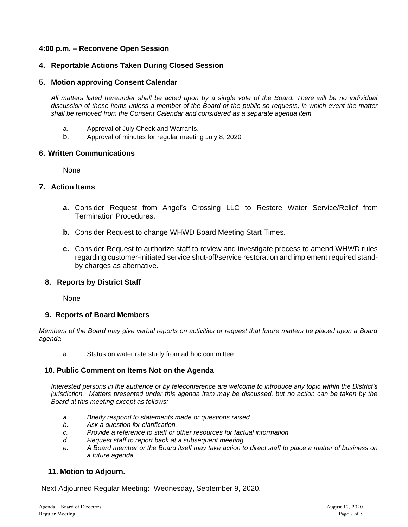## **4:00 p.m. – Reconvene Open Session**

### **4. Reportable Actions Taken During Closed Session**

#### **5. Motion approving Consent Calendar**

*All matters listed hereunder shall be acted upon by a single vote of the Board. There will be no individual discussion of these items unless a member of the Board or the public so requests, in which event the matter shall be removed from the Consent Calendar and considered as a separate agenda item.*

- a. Approval of July Check and Warrants.
- b. Approval of minutes for regular meeting July 8, 2020

#### **6. Written Communications**

None

### **7. Action Items**

- **a.** Consider Request from Angel's Crossing LLC to Restore Water Service/Relief from Termination Procedures.
- **b.** Consider Request to change WHWD Board Meeting Start Times.
- **c.** Consider Request to authorize staff to review and investigate process to amend WHWD rules regarding customer-initiated service shut-off/service restoration and implement required standby charges as alternative.

#### **8. Reports by District Staff**

**None** 

#### **9. Reports of Board Members**

*Members of the Board may give verbal reports on activities or request that future matters be placed upon a Board agenda*

a. Status on water rate study from ad hoc committee

#### **10. Public Comment on Items Not on the Agenda**

*Interested persons in the audience or by teleconference are welcome to introduce any topic within the District's jurisdiction. Matters presented under this agenda item may be discussed, but no action can be taken by the Board at this meeting except as follows:*

- *a. Briefly respond to statements made or questions raised.*
- *b. Ask a question for clarification.*
- *c. Provide a reference to staff or other resources for factual information.*
- *d. Request staff to report back at a subsequent meeting.*
- *e. A Board member or the Board itself may take action to direct staff to place a matter of business on a future agenda.*

#### **11. Motion to Adjourn.**

Next Adjourned Regular Meeting: Wednesday, September 9, 2020.